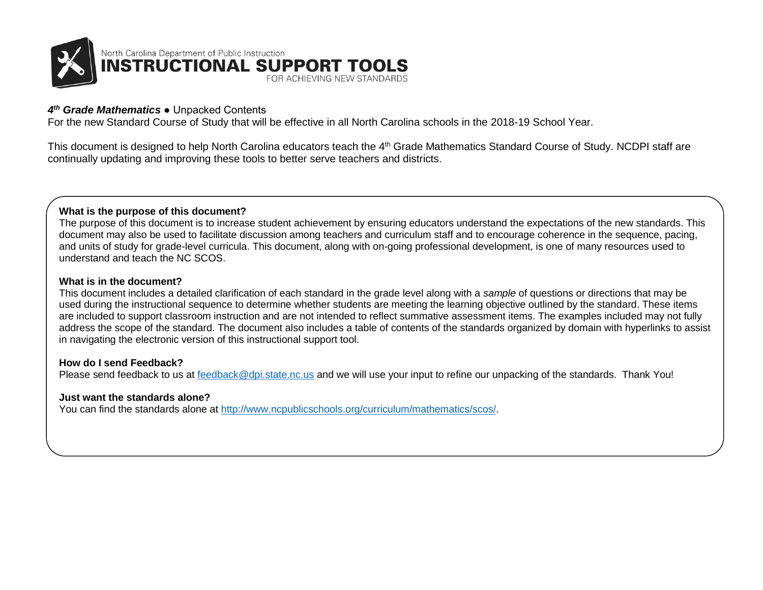

## *4 th Grade Mathematics* ● Unpacked Contents

For the new Standard Course of Study that will be effective in all North Carolina schools in the 2018-19 School Year.

This document is designed to help North Carolina educators teach the 4<sup>th</sup> Grade Mathematics Standard Course of Study. NCDPI staff are continually updating and improving these tools to better serve teachers and districts.

### **What is the purpose of this document?**

The purpose of this document is to increase student achievement by ensuring educators understand the expectations of the new standards. This document may also be used to facilitate discussion among teachers and curriculum staff and to encourage coherence in the sequence, pacing, and units of study for grade-level curricula. This document, along with on-going professional development, is one of many resources used to understand and teach the NC SCOS.

#### **What is in the document?**

This document includes a detailed clarification of each standard in the grade level along with a *sample* of questions or directions that may be used during the instructional sequence to determine whether students are meeting the learning objective outlined by the standard. These items are included to support classroom instruction and are not intended to reflect summative assessment items. The examples included may not fully address the scope of the standard. The document also includes a table of contents of the standards organized by domain with hyperlinks to assist in navigating the electronic version of this instructional support tool.

#### **How do I send Feedback?**

Please send feedback to us at [feedback@dpi.state.nc.us](mailto:feedback@dpi.state.nc.us) and we will use your input to refine our unpacking of the standards. Thank You!

#### **Just want the standards alone?**

You can find the standards alone at [http://www.ncpublicschools.org/curriculum/mathematics/scos/.](http://www.ncpublicschools.org/curriculum/mathematics/scos/)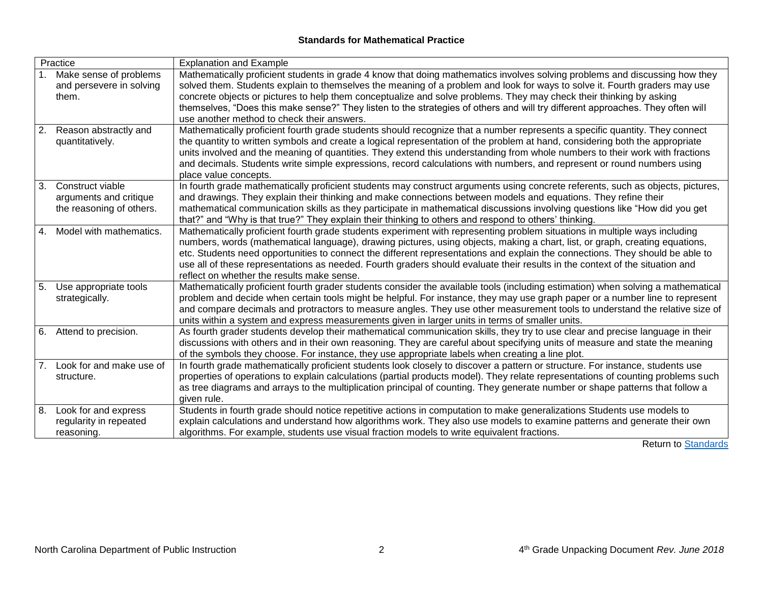# **Standards for Mathematical Practice**

<span id="page-1-0"></span>

| Practice |                                                                        | <b>Explanation and Example</b>                                                                                                                                                                                                                                                                                                                                                                                                                                                                                                                                            |
|----------|------------------------------------------------------------------------|---------------------------------------------------------------------------------------------------------------------------------------------------------------------------------------------------------------------------------------------------------------------------------------------------------------------------------------------------------------------------------------------------------------------------------------------------------------------------------------------------------------------------------------------------------------------------|
|          | 1. Make sense of problems<br>and persevere in solving<br>them.         | Mathematically proficient students in grade 4 know that doing mathematics involves solving problems and discussing how they<br>solved them. Students explain to themselves the meaning of a problem and look for ways to solve it. Fourth graders may use<br>concrete objects or pictures to help them conceptualize and solve problems. They may check their thinking by asking<br>themselves, "Does this make sense?" They listen to the strategies of others and will try different approaches. They often will<br>use another method to check their answers.          |
| 2.       | Reason abstractly and<br>quantitatively.                               | Mathematically proficient fourth grade students should recognize that a number represents a specific quantity. They connect<br>the quantity to written symbols and create a logical representation of the problem at hand, considering both the appropriate<br>units involved and the meaning of quantities. They extend this understanding from whole numbers to their work with fractions<br>and decimals. Students write simple expressions, record calculations with numbers, and represent or round numbers using<br>place value concepts.                           |
| 3.       | Construct viable<br>arguments and critique<br>the reasoning of others. | In fourth grade mathematically proficient students may construct arguments using concrete referents, such as objects, pictures,<br>and drawings. They explain their thinking and make connections between models and equations. They refine their<br>mathematical communication skills as they participate in mathematical discussions involving questions like "How did you get<br>that?" and "Why is that true?" They explain their thinking to others and respond to others' thinking.                                                                                 |
| 4.       | Model with mathematics.                                                | Mathematically proficient fourth grade students experiment with representing problem situations in multiple ways including<br>numbers, words (mathematical language), drawing pictures, using objects, making a chart, list, or graph, creating equations,<br>etc. Students need opportunities to connect the different representations and explain the connections. They should be able to<br>use all of these representations as needed. Fourth graders should evaluate their results in the context of the situation and<br>reflect on whether the results make sense. |
| 5.       | Use appropriate tools<br>strategically.                                | Mathematically proficient fourth grader students consider the available tools (including estimation) when solving a mathematical<br>problem and decide when certain tools might be helpful. For instance, they may use graph paper or a number line to represent<br>and compare decimals and protractors to measure angles. They use other measurement tools to understand the relative size of<br>units within a system and express measurements given in larger units in terms of smaller units.                                                                        |
|          | 6. Attend to precision.                                                | As fourth grader students develop their mathematical communication skills, they try to use clear and precise language in their<br>discussions with others and in their own reasoning. They are careful about specifying units of measure and state the meaning<br>of the symbols they choose. For instance, they use appropriate labels when creating a line plot.                                                                                                                                                                                                        |
| 7.       | Look for and make use of<br>structure.                                 | In fourth grade mathematically proficient students look closely to discover a pattern or structure. For instance, students use<br>properties of operations to explain calculations (partial products model). They relate representations of counting problems such<br>as tree diagrams and arrays to the multiplication principal of counting. They generate number or shape patterns that follow a<br>given rule.                                                                                                                                                        |
| 8.       | Look for and express<br>regularity in repeated<br>reasoning.           | Students in fourth grade should notice repetitive actions in computation to make generalizations Students use models to<br>explain calculations and understand how algorithms work. They also use models to examine patterns and generate their own<br>algorithms. For example, students use visual fraction models to write equivalent fractions.                                                                                                                                                                                                                        |

Return to **Standards**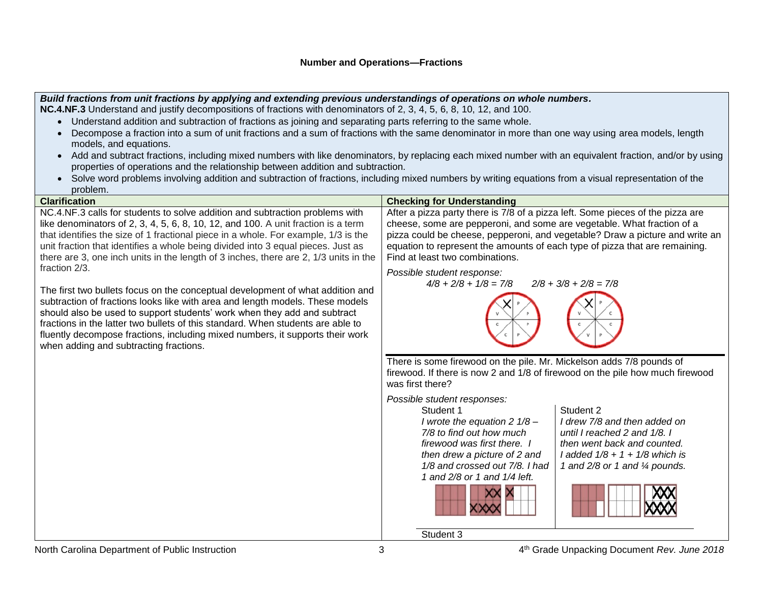#### *Build fractions from unit fractions by applying and extending previous understandings of operations on whole numbers.* **NC.4.NF.3** Understand and justify decompositions of fractions with denominators of 2, 3, 4, 5, 6, 8, 10, 12, and 100.

• Understand addition and subtraction of fractions as joining and separating parts referring to the same whole.

- Decompose a fraction into a sum of unit fractions and a sum of fractions with the same denominator in more than one way using area models, length models, and equations.
- Add and subtract fractions, including mixed numbers with like denominators, by replacing each mixed number with an equivalent fraction, and/or by using properties of operations and the relationship between addition and subtraction.
- Solve word problems involving addition and subtraction of fractions, including mixed numbers by writing equations from a visual representation of the problem.

| <b>Clarification</b>                                                                                                                                                                                                                                                                                                                                                                                                                                                       | <b>Checking for Understanding</b>                                                                                                                                                                                                                                                                                                                                                                                           |
|----------------------------------------------------------------------------------------------------------------------------------------------------------------------------------------------------------------------------------------------------------------------------------------------------------------------------------------------------------------------------------------------------------------------------------------------------------------------------|-----------------------------------------------------------------------------------------------------------------------------------------------------------------------------------------------------------------------------------------------------------------------------------------------------------------------------------------------------------------------------------------------------------------------------|
| NC.4.NF.3 calls for students to solve addition and subtraction problems with<br>like denominators of 2, 3, 4, 5, 6, 8, 10, 12, and 100. A unit fraction is a term<br>that identifies the size of 1 fractional piece in a whole. For example, 1/3 is the<br>unit fraction that identifies a whole being divided into 3 equal pieces. Just as<br>there are 3, one inch units in the length of 3 inches, there are 2, 1/3 units in the                                        | After a pizza party there is 7/8 of a pizza left. Some pieces of the pizza are<br>cheese, some are pepperoni, and some are vegetable. What fraction of a<br>pizza could be cheese, pepperoni, and vegetable? Draw a picture and write an<br>equation to represent the amounts of each type of pizza that are remaining.<br>Find at least two combinations.                                                                  |
| fraction 2/3.<br>The first two bullets focus on the conceptual development of what addition and<br>subtraction of fractions looks like with area and length models. These models<br>should also be used to support students' work when they add and subtract<br>fractions in the latter two bullets of this standard. When students are able to<br>fluently decompose fractions, including mixed numbers, it supports their work<br>when adding and subtracting fractions. | Possible student response:<br>$4/8 + 2/8 + 1/8 = 7/8$<br>$2/8 + 3/8 + 2/8 = 7/8$                                                                                                                                                                                                                                                                                                                                            |
|                                                                                                                                                                                                                                                                                                                                                                                                                                                                            | There is some firewood on the pile. Mr. Mickelson adds 7/8 pounds of<br>firewood. If there is now 2 and 1/8 of firewood on the pile how much firewood<br>was first there?                                                                                                                                                                                                                                                   |
|                                                                                                                                                                                                                                                                                                                                                                                                                                                                            | Possible student responses:<br>Student 2<br>Student 1<br>I drew 7/8 and then added on<br>I wrote the equation 2 $1/8$ –<br>7/8 to find out how much<br>until I reached 2 and 1/8. I<br>firewood was first there. I<br>then went back and counted.<br>then drew a picture of 2 and<br>$1$ added $1/8 + 1 + 1/8$ which is<br>1/8 and crossed out 7/8. I had<br>1 and 2/8 or 1 and 1/4 pounds.<br>1 and 2/8 or 1 and 1/4 left. |
|                                                                                                                                                                                                                                                                                                                                                                                                                                                                            | Student 3                                                                                                                                                                                                                                                                                                                                                                                                                   |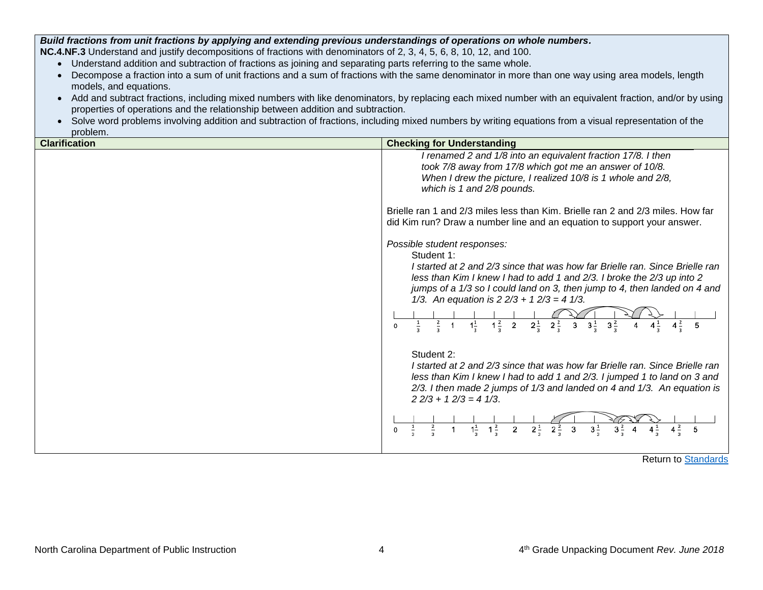*Build fractions from unit fractions by applying and extending previous understandings of operations on whole numbers.*

**NC.4.NF.3** Understand and justify decompositions of fractions with denominators of 2, 3, 4, 5, 6, 8, 10, 12, and 100.

- Understand addition and subtraction of fractions as joining and separating parts referring to the same whole.
- Decompose a fraction into a sum of unit fractions and a sum of fractions with the same denominator in more than one way using area models, length models, and equations.
- Add and subtract fractions, including mixed numbers with like denominators, by replacing each mixed number with an equivalent fraction, and/or by using properties of operations and the relationship between addition and subtraction.
- Solve word problems involving addition and subtraction of fractions, including mixed numbers by writing equations from a visual representation of the problem.

| <b>Clarification</b> | <b>Checking for Understanding</b>                                                                                                                                                                                                                                                                                                                                                                                                                                                                                                                                                                                                                                                                                                                                                                                                                                                                                                                        |
|----------------------|----------------------------------------------------------------------------------------------------------------------------------------------------------------------------------------------------------------------------------------------------------------------------------------------------------------------------------------------------------------------------------------------------------------------------------------------------------------------------------------------------------------------------------------------------------------------------------------------------------------------------------------------------------------------------------------------------------------------------------------------------------------------------------------------------------------------------------------------------------------------------------------------------------------------------------------------------------|
|                      | I renamed 2 and 1/8 into an equivalent fraction 17/8. I then<br>took 7/8 away from 17/8 which got me an answer of 10/8.<br>When I drew the picture, I realized 10/8 is 1 whole and 2/8,<br>which is 1 and 2/8 pounds.                                                                                                                                                                                                                                                                                                                                                                                                                                                                                                                                                                                                                                                                                                                                    |
|                      | Brielle ran 1 and 2/3 miles less than Kim. Brielle ran 2 and 2/3 miles. How far<br>did Kim run? Draw a number line and an equation to support your answer.                                                                                                                                                                                                                                                                                                                                                                                                                                                                                                                                                                                                                                                                                                                                                                                               |
|                      | Possible student responses:<br>Student 1:<br>I started at 2 and 2/3 since that was how far Brielle ran. Since Brielle ran<br>less than Kim I knew I had to add 1 and 2/3. I broke the 2/3 up into 2<br>jumps of a 1/3 so I could land on 3, then jump to 4, then landed on 4 and<br>1/3. An equation is $2 \frac{2}{3} + 1 \frac{2}{3} = 4 \frac{1}{3}$ .<br>$\frac{2}{\pi}$<br>$1\frac{1}{2}$<br>$1\frac{2}{3}$ 2<br>$2\frac{1}{3}$ $2\frac{2}{3}$ 3<br>$3\frac{1}{2}$<br>$3\frac{2}{7}$<br>$4^{\frac{2}{3}}$<br>5<br>Student 2:<br>I started at 2 and 2/3 since that was how far Brielle ran. Since Brielle ran<br>less than Kim I knew I had to add 1 and 2/3. I jumped 1 to land on 3 and<br>2/3. I then made 2 jumps of 1/3 and landed on 4 and 1/3. An equation is<br>$2\frac{2}{3} + 1\frac{2}{3} = 4\frac{1}{3}$ .<br>$1\frac{1}{2}$<br>$1\frac{2}{7}$<br>$\overline{2^2}$<br>$3^{\frac{1}{2}}$<br>$2^{\frac{1}{2}}$<br>3<br>$\overline{2}$<br>5 |

Return to [Standards](#page-1-0)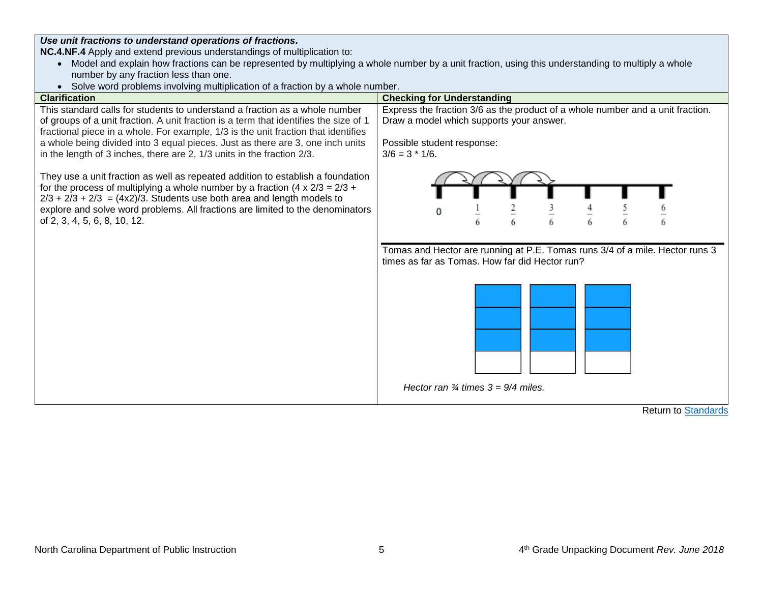*Use unit fractions to understand operations of fractions.*

**NC.4.NF.4** Apply and extend previous understandings of multiplication to:

- Model and explain how fractions can be represented by multiplying a whole number by a unit fraction, using this understanding to multiply a whole number by any fraction less than one.
- Solve word problems involving multiplication of a fraction by a whole number.



Return to [Standards](#page-1-0)